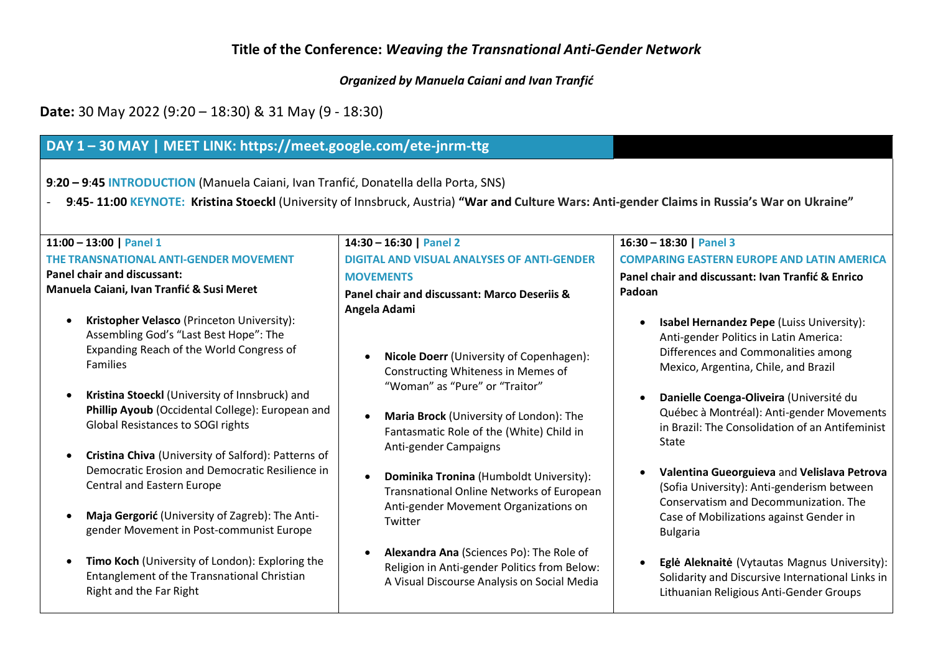### **Title of the Conference:** *Weaving the Transnational Anti-Gender Network*

*Organized by Manuela Caiani and Ivan Tranfić*

**Date:** 30 May 2022 (9:20 – 18:30) & 31 May (9 - 18:30)

## **DAY 1 – 30 MAY | MEET LINK: https://meet.google.com/ete-jnrm-ttg**

**9**:**20 – 9**:**45 INTRODUCTION** (Manuela Caiani, Ivan Tranfić, Donatella della Porta, SNS)

- 9:45-11:00 KEYNOTE: Kristina Stoeckl (University of Innsbruck, Austria) "War and Culture Wars: Anti-gender Claims in Russia's War on Ukraine"

| 11:00 - 13:00   Panel 1                                                                                                                                                                                                         | 14:30 - 16:30   Panel 2                                                                                                                                                              | $16:30 - 18:30$   Panel 3                                                                                                                                                                        |
|---------------------------------------------------------------------------------------------------------------------------------------------------------------------------------------------------------------------------------|--------------------------------------------------------------------------------------------------------------------------------------------------------------------------------------|--------------------------------------------------------------------------------------------------------------------------------------------------------------------------------------------------|
| <b>THE TRANSNATIONAL ANTI-GENDER MOVEMENT</b>                                                                                                                                                                                   | <b>DIGITAL AND VISUAL ANALYSES OF ANTI-GENDER</b>                                                                                                                                    | <b>COMPARING EASTERN EUROPE AND LATIN AMERICA</b>                                                                                                                                                |
| <b>Panel chair and discussant:</b>                                                                                                                                                                                              | <b>MOVEMENTS</b>                                                                                                                                                                     | Panel chair and discussant: Ivan Tranfić & Enrico                                                                                                                                                |
| Manuela Caiani, Ivan Tranfić & Susi Meret<br>Kristopher Velasco (Princeton University):<br>Assembling God's "Last Best Hope": The<br>Expanding Reach of the World Congress of<br><b>Families</b>                                | Panel chair and discussant: Marco Deseriis &<br>Angela Adami<br>Nicole Doerr (University of Copenhagen):<br>$\bullet$                                                                | Padoan<br>Isabel Hernandez Pepe (Luiss University):<br>Anti-gender Politics in Latin America:<br>Differences and Commonalities among<br>Mexico, Argentina, Chile, and Brazil                     |
| Kristina Stoeckl (University of Innsbruck) and<br>$\bullet$<br>Phillip Ayoub (Occidental College): European and<br><b>Global Resistances to SOGI rights</b><br>Cristina Chiva (University of Salford): Patterns of<br>$\bullet$ | Constructing Whiteness in Memes of<br>"Woman" as "Pure" or "Traitor"<br>Maria Brock (University of London): The<br>Fantasmatic Role of the (White) Child in<br>Anti-gender Campaigns | Danielle Coenga-Oliveira (Université du<br>Québec à Montréal): Anti-gender Movements<br>in Brazil: The Consolidation of an Antifeminist<br>State                                                 |
| Democratic Erosion and Democratic Resilience in<br><b>Central and Eastern Europe</b><br>Maja Gergorić (University of Zagreb): The Anti-<br>gender Movement in Post-communist Europe                                             | <b>Dominika Tronina</b> (Humboldt University):<br>$\bullet$<br>Transnational Online Networks of European<br>Anti-gender Movement Organizations on<br>Twitter                         | Valentina Gueorguieva and Velislava Petrova<br>(Sofia University): Anti-genderism between<br>Conservatism and Decommunization. The<br>Case of Mobilizations against Gender in<br><b>Bulgaria</b> |
| Timo Koch (University of London): Exploring the<br>$\bullet$<br>Entanglement of the Transnational Christian<br>Right and the Far Right                                                                                          | Alexandra Ana (Sciences Po): The Role of<br>Religion in Anti-gender Politics from Below:<br>A Visual Discourse Analysis on Social Media                                              | Eglė Aleknaitė (Vytautas Magnus University):<br>$\bullet$<br>Solidarity and Discursive International Links in<br>Lithuanian Religious Anti-Gender Groups                                         |